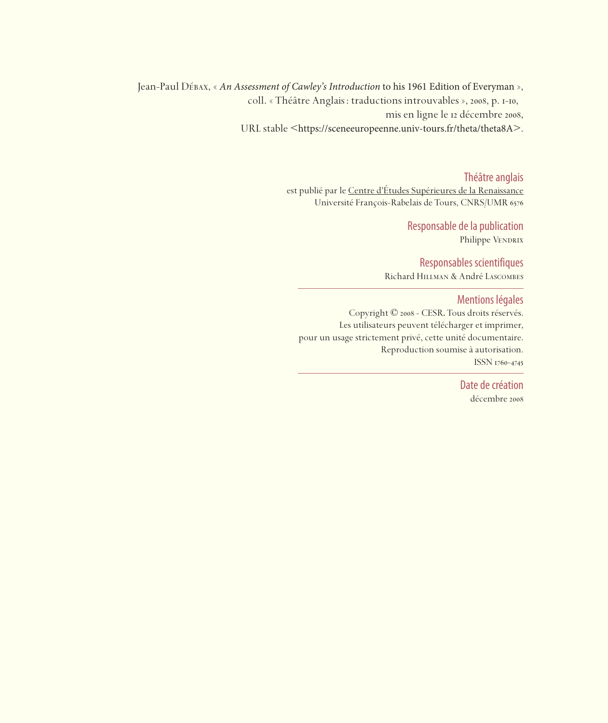Jean-Paul Débax, « *An Assessment of Cawley's Introduction* to his 1961 Edition of Everyman », coll. « Théâtre Anglais : traductions introuvables », 2008, p. 1-10, mis en ligne le 12 décembre 2008, URL stable <https://sceneeuropeenne.univ-tours.fr/theta/theta8A>.

> Théâtre anglais est publié par le Centre d'études Supérieures de la Renaissance Université François-Rabelais de Tours, CNRS/UMR

> > Responsable de la publication Philippe VENDRIX

Responsables scientifiques Richard Hillman & André Lascombes

Mentions légales

Copyright © 2008 - CESR. Tous droits réservés. Les utilisateurs peuvent télécharger et imprimer, pour un usage strictement privé, cette unité documentaire. Reproduction soumise à autorisation. ISSN 1760-4745

> Date de création décembre 2008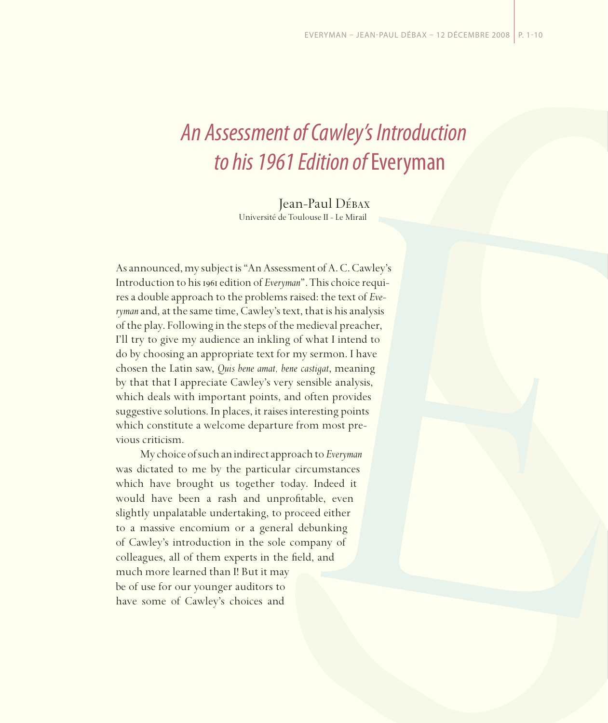# *An Assessment of Cawley's Introduction to his 1961 Edition of* Everyman

Jean-Paul Débax Université de Toulouse II - Le Mirail

As announced, my subject is "An Assessment of A. C. Cawley's Introduction to his 1961 edition of *Everyman*". This choice requires a double approach to the problems raised: the text of *Everyman* and, at the same time, Cawley's text, that is his analysis of the play. Following in the steps of the medieval preacher, I'll try to give my audience an inkling of what I intend to do by choosing an appropriate text for my sermon. I have chosen the Latin saw, *Quis bene amat, bene castigat*, meaning by that that I appreciate Cawley's very sensible analysis, which deals with important points, and often provides suggestive solutions. In places, it raises interesting points which constitute a welcome departure from most previous criticism.

My choice of such an indirect approach to *Everyman* was dictated to me by the particular circumstances which have brought us together today. Indeed it would have been a rash and unprofitable, even slightly unpalatable undertaking, to proceed either to a massive encomium or a general debunking of Cawley's introduction in the sole company of colleagues, all of them experts in the field, and much more learned than I! But it may be of use for our younger auditors to have some of Cawley's choices and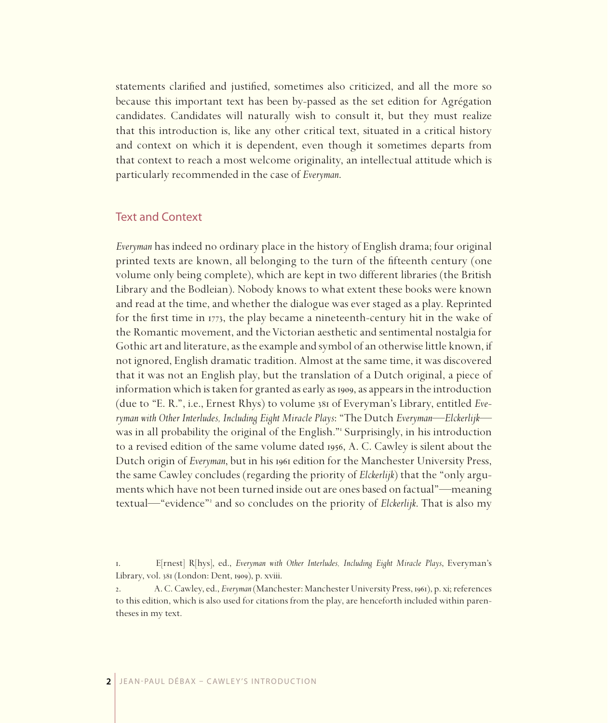statements clarified and justified, sometimes also criticized, and all the more so because this important text has been by-passed as the set edition for Agrégation candidates. Candidates will naturally wish to consult it, but they must realize that this introduction is, like any other critical text, situated in a critical history and context on which it is dependent, even though it sometimes departs from that context to reach a most welcome originality, an intellectual attitude which is particularly recommended in the case of *Everyman*.

## Text and Context

*Everyman* has indeed no ordinary place in the history of English drama; four original printed texts are known, all belonging to the turn of the fifteenth century (one volume only being complete), which are kept in two different libraries (the British Library and the Bodleian). Nobody knows to what extent these books were known and read at the time, and whether the dialogue was ever staged as a play. Reprinted for the first time in 1773, the play became a nineteenth-century hit in the wake of the Romantic movement, and the Victorian aesthetic and sentimental nostalgia for Gothic art and literature, as the example and symbol of an otherwise little known, if not ignored, English dramatic tradition. Almost at the same time, it was discovered that it was not an English play, but the translation of a Dutch original, a piece of information which is taken for granted as early as 1909, as appears in the introduction (due to "E. R.", i.e., Ernest Rhys) to volume 381 of Everyman's Library, entitled *Everyman with Other Interludes, Including Eight Miracle Plays*: "The Dutch *Everyman—Elckerlijk* was in all probability the original of the English." Surprisingly, in his introduction to a revised edition of the same volume dated 1956, A. C. Cawley is silent about the Dutch origin of *Everyman*, but in his 1961 edition for the Manchester University Press, the same Cawley concludes (regarding the priority of *Elckerlijk*) that the "only arguments which have not been turned inside out are ones based on factual"—meaning textual—"evidence" and so concludes on the priority of *Elckerlijk*. That is also my

<sup>.</sup> E[rnest] R[hys], ed., *Everyman with Other Interludes, Including Eight Miracle Plays*, Everyman's Library, vol. 381 (London: Dent, 1909), p. xviii.

<sup>2.</sup> A. C. Cawley, ed., *Everyman* (Manchester: Manchester University Press, 1961), p. xi; references to this edition, which is also used for citations from the play, are henceforth included within parentheses in my text.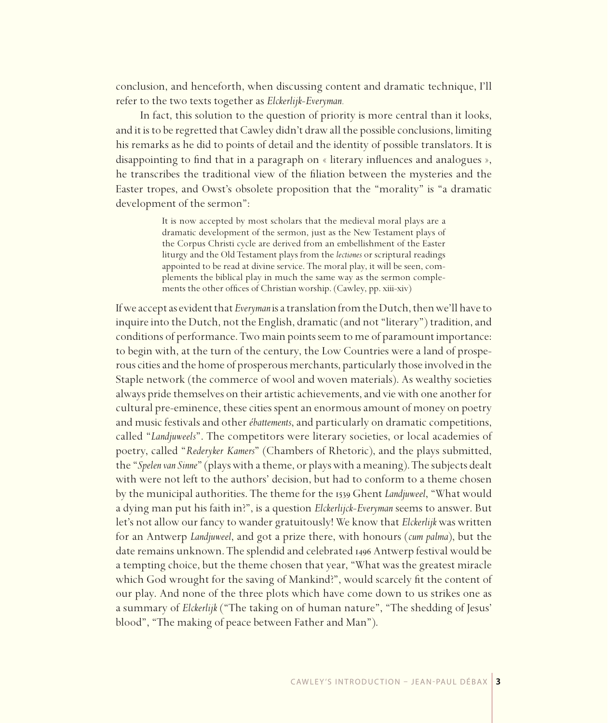conclusion, and henceforth, when discussing content and dramatic technique, I'll refer to the two texts together as *Elckerlijk-Everyman.*

In fact, this solution to the question of priority is more central than it looks, and it is to be regretted that Cawley didn't draw all the possible conclusions, limiting his remarks as he did to points of detail and the identity of possible translators. It is disappointing to find that in a paragraph on « literary influences and analogues », he transcribes the traditional view of the filiation between the mysteries and the Easter tropes, and Owst's obsolete proposition that the "morality" is "a dramatic development of the sermon":

> It is now accepted by most scholars that the medieval moral plays are a dramatic development of the sermon, just as the New Testament plays of the Corpus Christi cycle are derived from an embellishment of the Easter liturgy and the Old Testament plays from the *lectiones* or scriptural readings appointed to be read at divine service. The moral play, it will be seen, complements the biblical play in much the same way as the sermon complements the other offices of Christian worship. (Cawley, pp. xiii-xiv)

If we accept as evident that *Everyman* is a translation from the Dutch, then we'll have to inquire into the Dutch, not the English, dramatic (and not "literary") tradition, and conditions of performance. Two main points seem to me of paramount importance: to begin with, at the turn of the century, the Low Countries were a land of prosperous cities and the home of prosperous merchants, particularly those involved in the Staple network (the commerce of wool and woven materials). As wealthy societies always pride themselves on their artistic achievements, and vie with one another for cultural pre-eminence, these cities spent an enormous amount of money on poetry and music festivals and other *ébattements*, and particularly on dramatic competitions, called "*Landjuweels*". The competitors were literary societies, or local academies of poetry, called "*Rederyker Kamers*" (Chambers of Rhetoric), and the plays submitted, the "*Spelen van Sinne*" (plays with a theme, or plays with a meaning). The subjects dealt with were not left to the authors' decision, but had to conform to a theme chosen by the municipal authorities. The theme for the 1539 Ghent *Landjuweel*, "What would a dying man put his faith in?", is a question *Elckerlijck-Everyman* seems to answer. But let's not allow our fancy to wander gratuitously! We know that *Elckerlijk* was written for an Antwerp *Landjuweel*, and got a prize there, with honours (*cum palma*), but the date remains unknown. The splendid and celebrated 1496 Antwerp festival would be a tempting choice, but the theme chosen that year, "What was the greatest miracle which God wrought for the saving of Mankind?", would scarcely fit the content of our play. And none of the three plots which have come down to us strikes one as a summary of *Elckerlijk* ("The taking on of human nature", "The shedding of Jesus' blood", "The making of peace between Father and Man").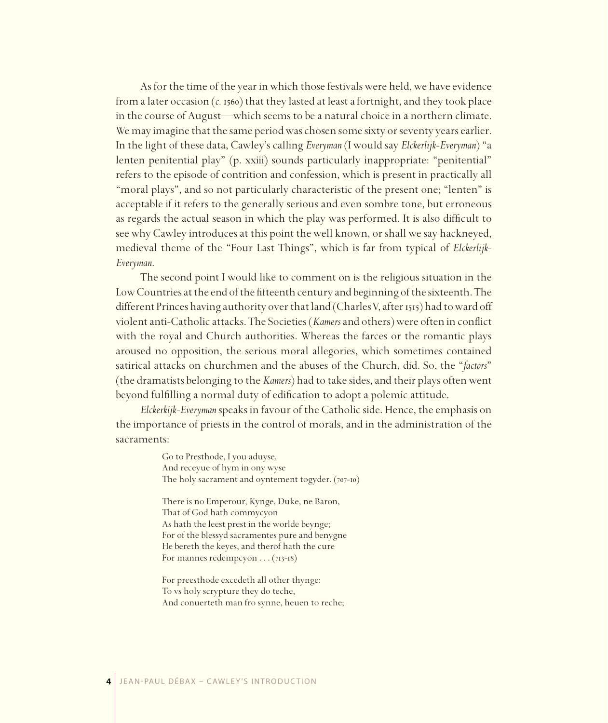As for the time of the year in which those festivals were held, we have evidence from a later occasion (*c.* 1560) that they lasted at least a fortnight, and they took place in the course of August—which seems to be a natural choice in a northern climate. We may imagine that the same period was chosen some sixty or seventy years earlier. In the light of these data, Cawley's calling *Everyman* (I would say *Elckerlijk-Everyman*) "a lenten penitential play" (p. xxiii) sounds particularly inappropriate: "penitential" refers to the episode of contrition and confession, which is present in practically all "moral plays", and so not particularly characteristic of the present one; "lenten" is acceptable if it refers to the generally serious and even sombre tone, but erroneous as regards the actual season in which the play was performed. It is also difficult to see why Cawley introduces at this point the well known, or shall we say hackneyed, medieval theme of the "Four Last Things", which is far from typical of *Elckerlijk-Everyman*.

The second point I would like to comment on is the religious situation in the Low Countries at the end of the fifteenth century and beginning of the sixteenth. The different Princes having authority over that land (Charles V, after 1515) had to ward off violent anti-Catholic attacks. The Societies (*Kamers* and others) were often in conflict with the royal and Church authorities. Whereas the farces or the romantic plays aroused no opposition, the serious moral allegories, which sometimes contained satirical attacks on churchmen and the abuses of the Church, did. So, the "*factors*" (the dramatists belonging to the *Kamers*) had to take sides, and their plays often went beyond fulfilling a normal duty of edification to adopt a polemic attitude.

*Elckerkijk-Everyman* speaks in favour of the Catholic side. Hence, the emphasis on the importance of priests in the control of morals, and in the administration of the sacraments:

> Go to Presthode, I you aduyse, And receyue of hym in ony wyse The holy sacrament and oyntement togyder.  $(707-10)$

There is no Emperour, Kynge, Duke, ne Baron, That of God hath commycyon As hath the leest prest in the worlde beynge; For of the blessyd sacramentes pure and benygne He bereth the keyes, and therof hath the cure For mannes redempcyon  $\ldots$  (713-18)

For preesthode excedeth all other thynge: To vs holy scrypture they do teche, And conuerteth man fro synne, heuen to reche;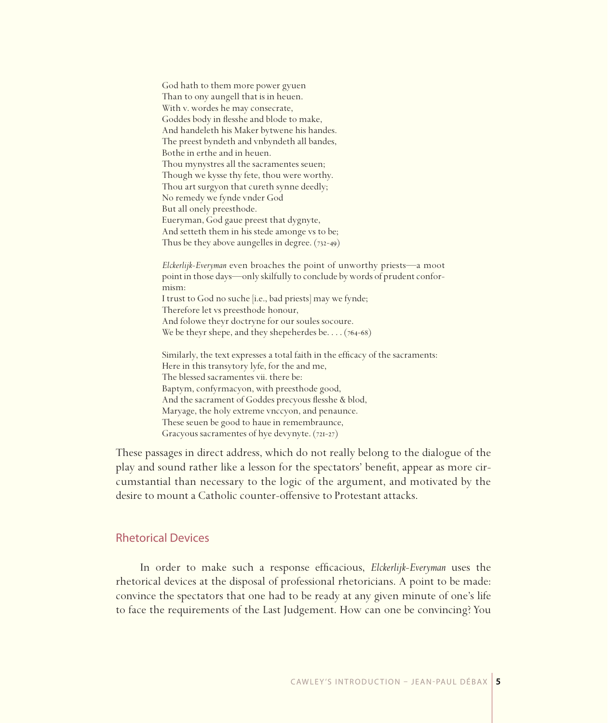God hath to them more power gyuen Than to ony aungell that is in heuen. With v. wordes he may consecrate, Goddes body in flesshe and blode to make, And handeleth his Maker bytwene his handes. The preest byndeth and vnbyndeth all bandes, Bothe in erthe and in heuen. Thou mynystres all the sacramentes seuen; Though we kysse thy fete, thou were worthy. Thou art surgyon that cureth synne deedly; No remedy we fynde ynder God But all onely preesthode. Eueryman, God gaue preest that dygnyte, And setteth them in his stede amonge vs to be; Thus be they above aungelles in degree.  $(732-49)$ 

Elckerlijk-Everyman even broaches the point of unworthy priests-a moot point in those days—only skilfully to conclude by words of prudent conformism: I trust to God no suche [i.e., bad priests] may we fynde; Therefore let vs preesthode honour, And folowe theyr doctryne for our soules socoure. We be theyr shepe, and they shepeherdes be.  $\ldots$  (764-68) Similarly, the text expresses a total faith in the efficacy of the sacraments: Here in this transvtory lyfe, for the and me, The blessed sacramentes vii. there be: Baptym, confyrmacyon, with preesthode good,

And the sacrament of Goddes precyous flesshe & blod, Maryage, the holy extreme vnccyon, and penaunce. These seuen be good to haue in remembraunce, Gracyous sacramentes of hye devynyte. (721-27)

These passages in direct address, which do not really belong to the dialogue of the play and sound rather like a lesson for the spectators' benefit, appear as more circumstantial than necessary to the logic of the argument, and motivated by the desire to mount a Catholic counter-offensive to Protestant attacks.

### **Rhetorical Devices**

In order to make such a response efficacious, *Elckerlijk-Everyman* uses the rhetorical devices at the disposal of professional rhetoricians. A point to be made: convince the spectators that one had to be ready at any given minute of one's life to face the requirements of the Last Judgement. How can one be convincing? You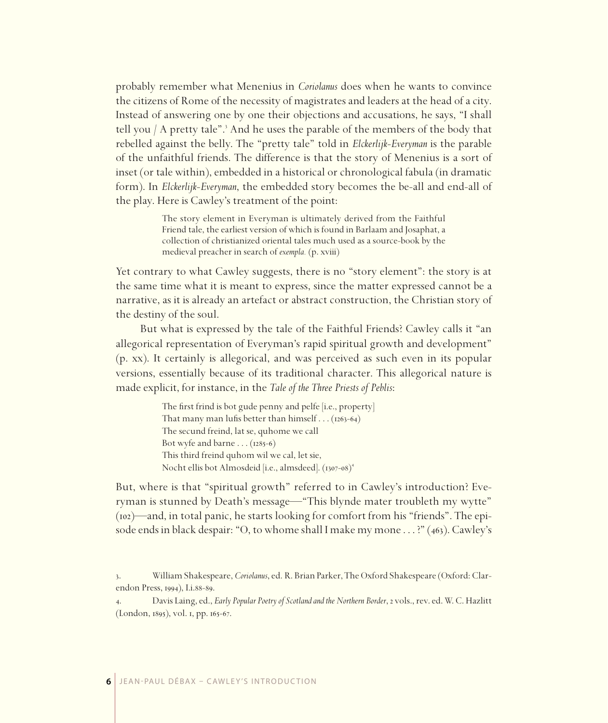probably remember what Menenius in *Coriolanus* does when he wants to convince the citizens of Rome of the necessity of magistrates and leaders at the head of a city. Instead of answering one by one their objections and accusations, he says, "I shall tell you / A pretty tale".<sup>3</sup> And he uses the parable of the members of the body that rebelled against the belly. The "pretty tale" told in *Elckerlijk-Everyman* is the parable of the unfaithful friends. The difference is that the story of Menenius is a sort of inset (or tale within), embedded in a historical or chronological fabula (in dramatic form). In *Elckerlijk-Everyman*, the embedded story becomes the be-all and end-all of the play. Here is Cawley's treatment of the point:

> The story element in Everyman is ultimately derived from the Faithful Friend tale, the earliest version of which is found in Barlaam and Josaphat, a collection of christianized oriental tales much used as a source-book by the medieval preacher in search of *exempla.* (p. xviii)

Yet contrary to what Cawley suggests, there is no "story element": the story is at the same time what it is meant to express, since the matter expressed cannot be a narrative, as it is already an artefact or abstract construction, the Christian story of the destiny of the soul.

But what is expressed by the tale of the Faithful Friends? Cawley calls it "an allegorical representation of Everyman's rapid spiritual growth and development" (p. xx). It certainly is allegorical, and was perceived as such even in its popular versions, essentially because of its traditional character. This allegorical nature is made explicit, for instance, in the *Tale of the Three Priests of Peblis*:

> The first frind is bot gude penny and pelfe [i.e., property] That many man lufis better than himself  $\dots$  (1263-64) The secund freind, lat se, quhome we call Bot wyfe and barne  $\ldots$  (1285-6) This third freind quhom wil we cal, let sie, Nocht ellis bot Almosdeid [i.e., almsdeed]. (1307-08)<sup>4</sup>

But, where is that "spiritual growth" referred to in Cawley's introduction? Everyman is stunned by Death's message—"This blynde mater troubleth my wytte"  $(i\omega)$ —and, in total panic, he starts looking for comfort from his "friends". The episode ends in black despair: "O, to whome shall I make my mone . . . ?" (463). Cawley's

<sup>.</sup> William Shakespeare, *Coriolanus*, ed. R. Brian Parker, The Oxford Shakespeare (Oxford: Clarendon Press, 1994), I.i.88-89.

<sup>.</sup> Davis Laing, ed., *Early Popular Poetry of Scotland and the Northern Border*, vols., rev. ed. W. C. Hazlitt (London, 1895), vol. 1, pp. 165-67.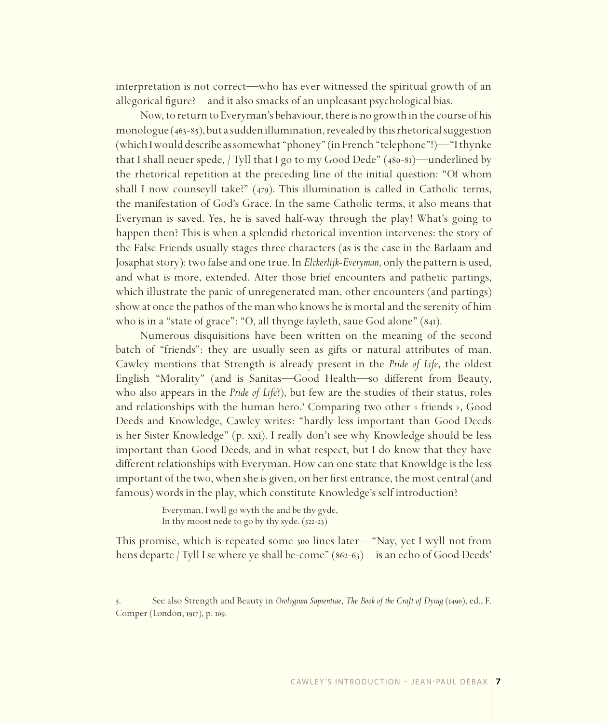interpretation is not correct—who has ever witnessed the spiritual growth of an allegorical figure?—and it also smacks of an unpleasant psychological bias.

Now, to return to Everyman's behaviour, there is no growth in the course of his monologue  $(463-85)$ , but a sudden illumination, revealed by this rhetorical suggestion (which I would describe as somewhat "phoney" (in French "telephone"!)—"I thynke that I shall neuer spede, / Tyll that I go to my Good Dede" (480-81)—underlined by the rhetorical repetition at the preceding line of the initial question: "Of whom shall I now counseyll take?"  $(479)$ . This illumination is called in Catholic terms, the manifestation of God's Grace. In the same Catholic terms, it also means that Everyman is saved. Yes, he is saved half-way through the play! What's going to happen then? This is when a splendid rhetorical invention intervenes: the story of the False Friends usually stages three characters (as is the case in the Barlaam and Josaphat story): two false and one true. In *Elckerlijk-Everyman*, only the pattern is used, and what is more, extended. After those brief encounters and pathetic partings, which illustrate the panic of unregenerated man, other encounters (and partings) show at once the pathos of the man who knows he is mortal and the serenity of him who is in a "state of grace": "O, all thynge fayleth, saue God alone"  $(84I)$ .

Numerous disquisitions have been written on the meaning of the second batch of "friends": they are usually seen as gifts or natural attributes of man. Cawley mentions that Strength is already present in the *Pride of Life*, the oldest English "Morality" (and is Sanitas—Good Health—so different from Beauty, who also appears in the *Pride of Life*?), but few are the studies of their status, roles and relationships with the human hero.<sup>5</sup> Comparing two other « friends », Good Deeds and Knowledge, Cawley writes: "hardly less important than Good Deeds is her Sister Knowledge" (p. xxi). I really don't see why Knowledge should be less important than Good Deeds, and in what respect, but I do know that they have different relationships with Everyman. How can one state that Knowldge is the less important of the two, when she is given, on her first entrance, the most central (and famous) words in the play, which constitute Knowledge's self introduction?

> Everyman, I wyll go wyth the and be thy gyde, In thy moost nede to go by thy syde.  $(522-23)$

This promise, which is repeated some 300 lines later—"Nay, yet I wyll not from hens departe / Tyll I se where ye shall be-come" (862-63)—is an echo of Good Deeds'

<sup>5.</sup> See also Strength and Beauty in *Orologium Sapientiae*, *The Book of the Craft of Dying* (1490), ed., F. Comper (London, 1917), p. 109.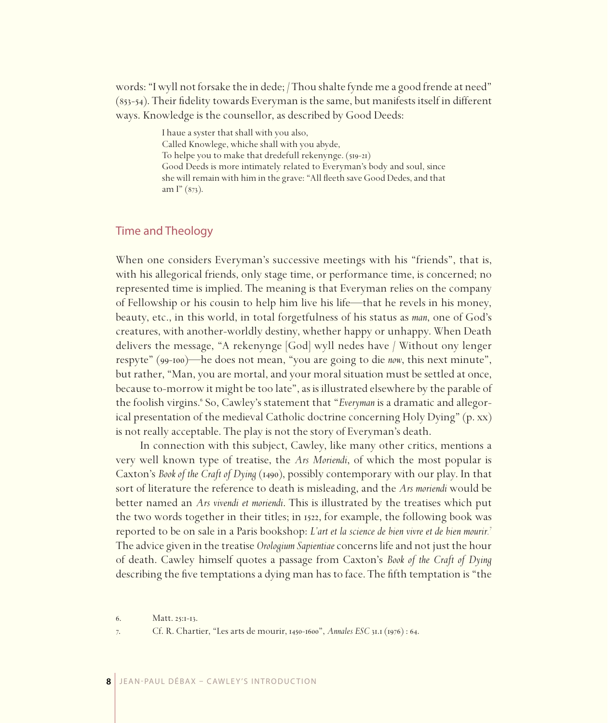words: "I wyll not forsake the in dede; /Thou shalte fynde me a good frende at need"  $(s_{53-54})$ . Their fidelity towards Everyman is the same, but manifests itself in different ways. Knowledge is the counsellor, as described by Good Deeds:

> I haue a syster that shall with you also, Called Knowlege, whiche shall with you abyde, To helpe you to make that dredefull rekenynge.  $(s_{19-21})$ Good Deeds is more intimately related to Everyman's body and soul, since she will remain with him in the grave: "All fleeth save Good Dedes, and that am  $\Gamma$ " (873).

### Time and Theology

When one considers Everyman's successive meetings with his "friends", that is, with his allegorical friends, only stage time, or performance time, is concerned; no represented time is implied. The meaning is that Everyman relies on the company of Fellowship or his cousin to help him live his life—that he revels in his money, beauty, etc., in this world, in total forgetfulness of his status as *man*, one of God's creatures, with another-worldly destiny, whether happy or unhappy. When Death delivers the message, "A rekenynge [God] wyll nedes have / Without ony lenger respyte" (99-100)—he does not mean, "you are going to die *now*, this next minute", but rather, "Man, you are mortal, and your moral situation must be settled at once, because to-morrow it might be too late", as is illustrated elsewhere by the parable of the foolish virgins.<sup>6</sup> So, Cawley's statement that "*Everyman* is a dramatic and allegorical presentation of the medieval Catholic doctrine concerning Holy Dying" (p. xx) is not really acceptable. The play is not the story of Everyman's death.

In connection with this subject, Cawley, like many other critics, mentions a very well known type of treatise, the *Ars Moriendi*, of which the most popular is Caxton's *Book of the Craft of Dying* (1490), possibly contemporary with our play. In that sort of literature the reference to death is misleading, and the *Ars moriendi* would be better named an *Ars vivendi et moriendi*. This is illustrated by the treatises which put the two words together in their titles; in 1522, for example, the following book was reported to be on sale in a Paris bookshop: *L'art et la science de bien vivre et de bien mourir.* The advice given in the treatise *Orologium Sapientiae* concerns life and not just the hour of death. Cawley himself quotes a passage from Caxton's *Book of the Craft of Dying* describing the five temptations a dying man has to face. The fifth temptation is "the

<sup>6.</sup> Matt. 25:1-13.

<sup>7.</sup> Cf. R. Chartier, "Les arts de mourir, 1450-1600", *Annales ESC* 31.1 (1976): 64.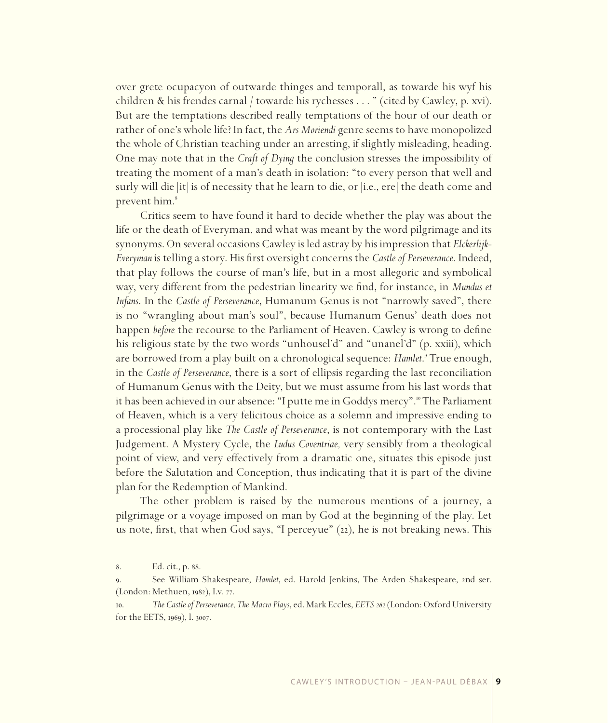over grete ocupacyon of outwarde thinges and temporall, as towarde his wyf his children & his frendes carnal / towarde his rychesses . . . " (cited by Cawley, p. xvi). But are the temptations described really temptations of the hour of our death or rather of one's whole life? In fact, the *Ars Moriendi* genre seems to have monopolized the whole of Christian teaching under an arresting, if slightly misleading, heading. One may note that in the *Craft of Dying* the conclusion stresses the impossibility of treating the moment of a man's death in isolation: "to every person that well and surly will die [it] is of necessity that he learn to die, or [i.e., ere] the death come and prevent him.

Critics seem to have found it hard to decide whether the play was about the life or the death of Everyman, and what was meant by the word pilgrimage and its synonyms. On several occasions Cawley is led astray by his impression that *Elckerlijk-Everyman* is telling a story. His first oversight concerns the *Castle of Perseverance*. Indeed, that play follows the course of man's life, but in a most allegoric and symbolical way, very different from the pedestrian linearity we find, for instance, in *Mundus et Infans*. In the *Castle of Perseverance*, Humanum Genus is not "narrowly saved", there is no "wrangling about man's soul", because Humanum Genus' death does not happen *before* the recourse to the Parliament of Heaven. Cawley is wrong to define his religious state by the two words "unhousel'd" and "unanel'd" (p. xxiii), which are borrowed from a play built on a chronological sequence: *Hamlet*.<sup>9</sup> True enough, in the *Castle of Perseverance*, there is a sort of ellipsis regarding the last reconciliation of Humanum Genus with the Deity, but we must assume from his last words that it has been achieved in our absence: "I putte me in Goddys mercy"." The Parliament of Heaven, which is a very felicitous choice as a solemn and impressive ending to a processional play like *The Castle of Perseverance*, is not contemporary with the Last Judgement. A Mystery Cycle, the *Ludus Coventriae,* very sensibly from a theological point of view, and very effectively from a dramatic one, situates this episode just before the Salutation and Conception, thus indicating that it is part of the divine plan for the Redemption of Mankind.

The other problem is raised by the numerous mentions of a journey, a pilgrimage or a voyage imposed on man by God at the beginning of the play. Let us note, first, that when God says, "I perceyue" (22), he is not breaking news. This

<sup>8.</sup> Ed. cit., p. 88.

<sup>.</sup> See William Shakespeare, *Hamlet*, ed. Harold Jenkins, The Arden Shakespeare, nd ser. (London: Methuen, 1982), I.v. 77.

<sup>.</sup> *The Castle of Perseverance, The Macro Plays*, ed. Mark Eccles, *EETS 262* (London: Oxford University for the EETS, 1969), l. 3007.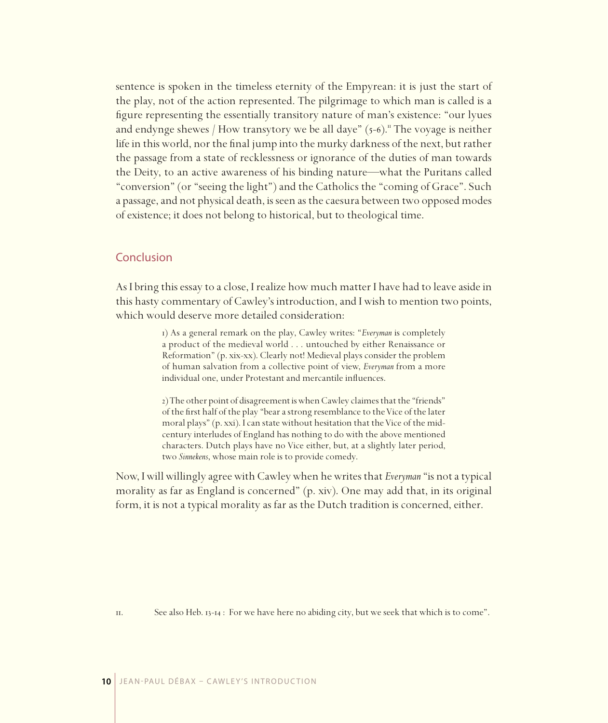sentence is spoken in the timeless eternity of the Empyrean: it is just the start of the play, not of the action represented. The pilgrimage to which man is called is a figure representing the essentially transitory nature of man's existence: "our lyues and endynge shewes / How transytory we be all daye"  $(5-6)$ ." The voyage is neither life in this world, nor the final jump into the murky darkness of the next, but rather the passage from a state of recklessness or ignorance of the duties of man towards the Deity, to an active awareness of his binding nature—what the Puritans called "conversion" (or "seeing the light") and the Catholics the "coming of Grace". Such a passage, and not physical death, is seen as the caesura between two opposed modes of existence; it does not belong to historical, but to theological time.

#### Conclusion

As I bring this essay to a close, I realize how much matter I have had to leave aside in this hasty commentary of Cawley's introduction, and I wish to mention two points, which would deserve more detailed consideration:

> 1) As a general remark on the play, Cawley writes: "*Everyman* is completely a product of the medieval world . . . untouched by either Renaissance or Reformation" (p. xix-xx). Clearly not! Medieval plays consider the problem of human salvation from a collective point of view, *Everyman* from a more individual one, under Protestant and mercantile influences.

> 2) The other point of disagreement is when Cawley claimes that the "friends" of the first half of the play "bear a strong resemblance to the Vice of the later moral plays" (p. xxi). I can state without hesitation that the Vice of the midcentury interludes of England has nothing to do with the above mentioned characters. Dutch plays have no Vice either, but, at a slightly later period, two *Sinnekens*, whose main role is to provide comedy.

Now, I will willingly agree with Cawley when he writes that *Everyman* "is not a typical morality as far as England is concerned" (p. xiv). One may add that, in its original form, it is not a typical morality as far as the Dutch tradition is concerned, either.

II. See also Heb. 13-14 : For we have here no abiding city, but we seek that which is to come".